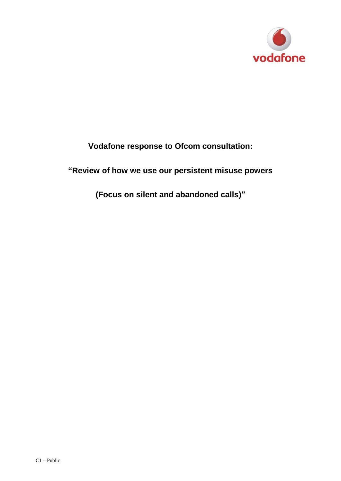

## **Vodafone response to Ofcom consultation:**

## **"Review of how we use our persistent misuse powers**

**(Focus on silent and abandoned calls)"**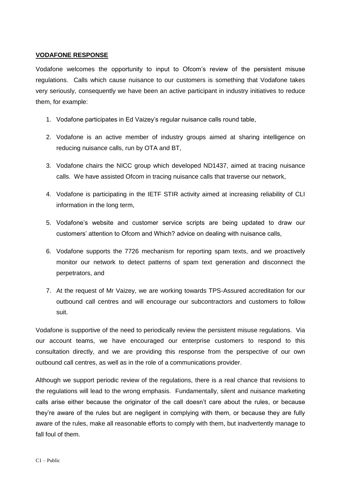## **VODAFONE RESPONSE**

Vodafone welcomes the opportunity to input to Ofcom's review of the persistent misuse regulations. Calls which cause nuisance to our customers is something that Vodafone takes very seriously, consequently we have been an active participant in industry initiatives to reduce them, for example:

- 1. Vodafone participates in Ed Vaizey's regular nuisance calls round table,
- 2. Vodafone is an active member of industry groups aimed at sharing intelligence on reducing nuisance calls, run by OTA and BT,
- 3. Vodafone chairs the NICC group which developed ND1437, aimed at tracing nuisance calls. We have assisted Ofcom in tracing nuisance calls that traverse our network,
- 4. Vodafone is participating in the IETF STIR activity aimed at increasing reliability of CLI information in the long term,
- 5. Vodafone's website and customer service scripts are being updated to draw our customers' attention to Ofcom and Which? advice on dealing with nuisance calls,
- 6. Vodafone supports the 7726 mechanism for reporting spam texts, and we proactively monitor our network to detect patterns of spam text generation and disconnect the perpetrators, and
- 7. At the request of Mr Vaizey, we are working towards TPS-Assured accreditation for our outbound call centres and will encourage our subcontractors and customers to follow suit.

Vodafone is supportive of the need to periodically review the persistent misuse regulations. Via our account teams, we have encouraged our enterprise customers to respond to this consultation directly, and we are providing this response from the perspective of our own outbound call centres, as well as in the role of a communications provider.

Although we support periodic review of the regulations, there is a real chance that revisions to the regulations will lead to the wrong emphasis. Fundamentally, silent and nuisance marketing calls arise either because the originator of the call doesn't care about the rules, or because they're aware of the rules but are negligent in complying with them, or because they are fully aware of the rules, make all reasonable efforts to comply with them, but inadvertently manage to fall foul of them.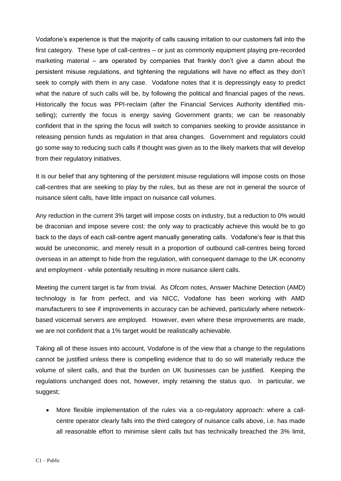Vodafone's experience is that the majority of calls causing irritation to our customers fall into the first category. These type of call-centres – or just as commonly equipment playing pre-recorded marketing material – are operated by companies that frankly don't give a damn about the persistent misuse regulations, and tightening the regulations will have no effect as they don't seek to comply with them in any case. Vodafone notes that it is depressingly easy to predict what the nature of such calls will be, by following the political and financial pages of the news. Historically the focus was PPI-reclaim (after the Financial Services Authority identified misselling); currently the focus is energy saving Government grants; we can be reasonably confident that in the spring the focus will switch to companies seeking to provide assistance in releasing pension funds as regulation in that area changes. Government and regulators could go some way to reducing such calls if thought was given as to the likely markets that will develop from their regulatory initiatives.

It is our belief that any tightening of the persistent misuse regulations will impose costs on those call-centres that are seeking to play by the rules, but as these are not in general the source of nuisance silent calls, have little impact on nuisance call volumes.

Any reduction in the current 3% target will impose costs on industry, but a reduction to 0% would be draconian and impose severe cost: the only way to practicably achieve this would be to go back to the days of each call-centre agent manually generating calls. Vodafone's fear is that this would be uneconomic, and merely result in a proportion of outbound call-centres being forced overseas in an attempt to hide from the regulation, with consequent damage to the UK economy and employment - while potentially resulting in more nuisance silent calls.

Meeting the current target is far from trivial. As Ofcom notes, Answer Machine Detection (AMD) technology is far from perfect, and via NICC, Vodafone has been working with AMD manufacturers to see if improvements in accuracy can be achieved, particularly where networkbased voicemail servers are employed. However, even where these improvements are made, we are not confident that a 1% target would be realistically achievable.

Taking all of these issues into account, Vodafone is of the view that a change to the regulations cannot be justified unless there is compelling evidence that to do so will materially reduce the volume of silent calls, and that the burden on UK businesses can be justified. Keeping the regulations unchanged does not, however, imply retaining the status quo. In particular, we suggest;

 More flexible implementation of the rules via a co-regulatory approach: where a callcentre operator clearly falls into the third category of nuisance calls above, i.e. has made all reasonable effort to minimise silent calls but has technically breached the 3% limit,